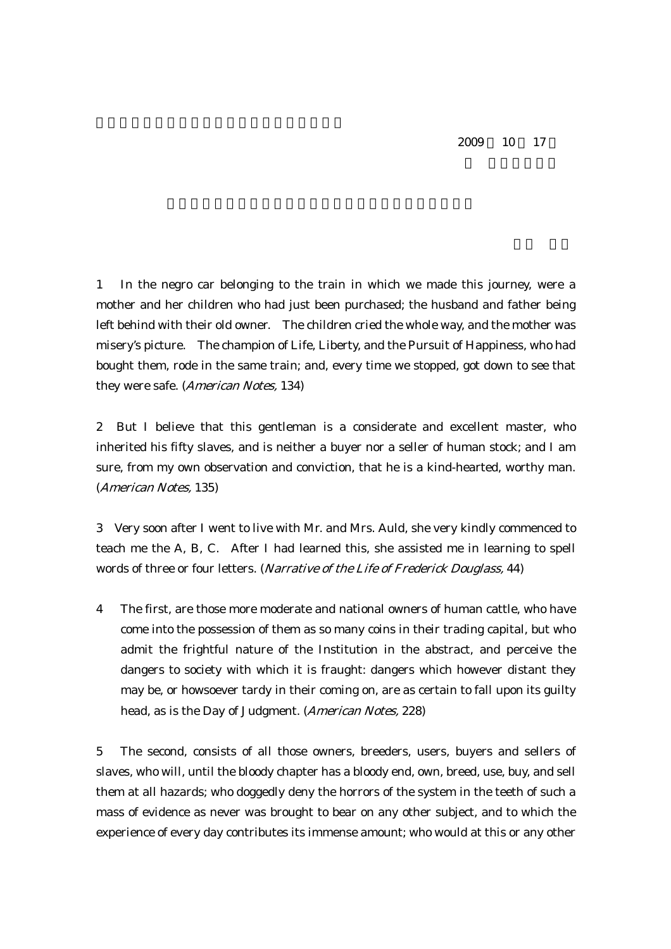1 In the negro car belonging to the train in which we made this journey, were a mother and her children who had just been purchased; the husband and father being left behind with their old owner. The children cried the whole way, and the mother was misery's picture. The champion of Life, Liberty, and the Pursuit of Happiness, who had bought them, rode in the same train; and, every time we stopped, got down to see that they were safe. (American Notes, 134)

2 But I believe that this gentleman is a considerate and excellent master, who inherited his fifty slaves, and is neither a buyer nor a seller of human stock; and I am sure, from my own observation and conviction, that he is a kind-hearted, worthy man. (American Notes, 135)

3 Very soon after I went to live with Mr. and Mrs. Auld, she very kindly commenced to teach me the A, B, C. After I had learned this, she assisted me in learning to spell words of three or four letters. (Narrative of the Life of Frederick Douglass, 44)

4 The first, are those more moderate and national owners of human cattle, who have come into the possession of them as so many coins in their trading capital, but who admit the frightful nature of the Institution in the abstract, and perceive the dangers to society with which it is fraught: dangers which however distant they may be, or howsoever tardy in their coming on, are as certain to fall upon its guilty head, as is the Day of Judgment. (American Notes, 228)

5 The second, consists of all those owners, breeders, users, buyers and sellers of slaves, who will, until the bloody chapter has a bloody end, own, breed, use, buy, and sell them at all hazards; who doggedly deny the horrors of the system in the teeth of such a mass of evidence as never was brought to bear on any other subject, and to which the experience of every day contributes its immense amount; who would at this or any other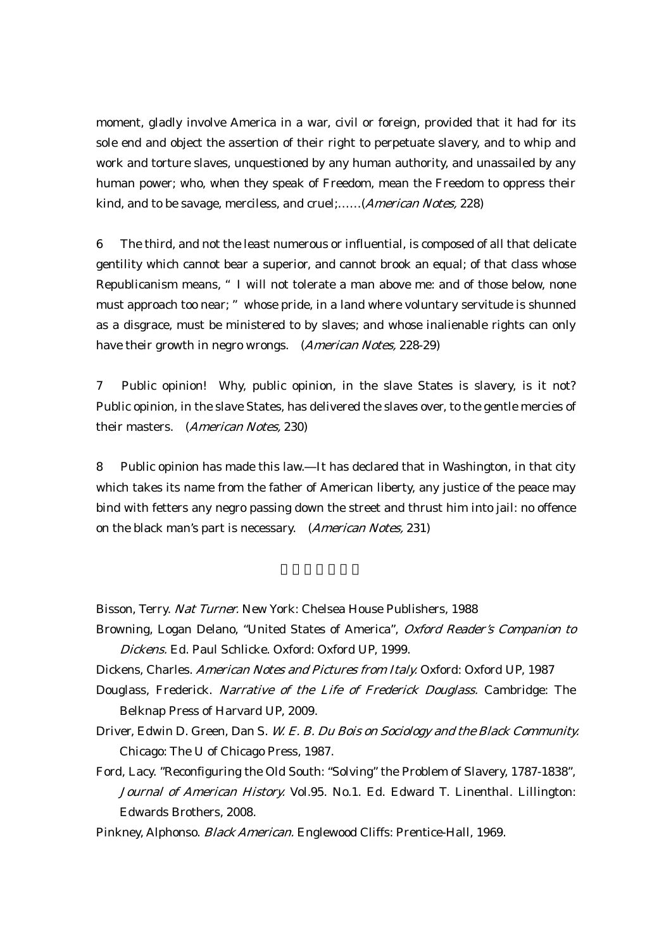moment, gladly involve America in a war, civil or foreign, provided that it had for its sole end and object the assertion of their right to perpetuate slavery, and to whip and work and torture slaves, unquestioned by any human authority, and unassailed by any human power; who, when they speak of Freedom, mean the Freedom to oppress their kind, and to be savage, merciless, and cruel;......(*American Notes*, 228)

6 The third, and not the least numerous or influential, is composed of all that delicate gentility which cannot bear a superior, and cannot brook an equal; of that class whose Republicanism means, "I will not tolerate a man above me: and of those below, none must approach too near; "whose pride, in a land where voluntary servitude is shunned as a disgrace, must be ministered to by slaves; and whose inalienable rights can only have their growth in negro wrongs. (American Notes, 228-29)

7 Public opinion! Why, public opinion, in the slave States is slavery, is it not? Public opinion, in the slave States, has delivered the slaves over, to the gentle mercies of their masters. (American Notes, 230)

8 Public opinion has made this law. It has declared that in Washington, in that city which takes its name from the father of American liberty, any justice of the peace may bind with fetters any negro passing down the street and thrust him into jail: no offence on the black man's part is necessary. (American Notes, 231)

Bisson, Terry. Nat Turner. New York: Chelsea House Publishers, 1988

- Browning, Logan Delano, "United States of America", Oxford Reader's Companion to Dickens. Ed. Paul Schlicke. Oxford: Oxford UP, 1999.
- Dickens, Charles. American Notes and Pictures from Italy. Oxford: Oxford UP, 1987
- Douglass, Frederick. Narrative of the Life of Frederick Douglass. Cambridge: The Belknap Press of Harvard UP, 2009.
- Driver, Edwin D. Green, Dan S. W. E. B. Du Bois on Sociology and the Black Community. Chicago: The U of Chicago Press, 1987.
- Ford, Lacy. "Reconfiguring the Old South: "Solving" the Problem of Slavery, 1787-1838", Journal of American History. Vol.95. No.1. Ed. Edward T. Linenthal. Lillington: Edwards Brothers, 2008.

Pinkney, Alphonso. Black American. Englewood Cliffs: Prentice-Hall, 1969.